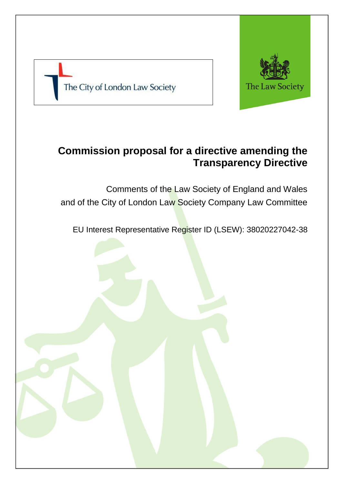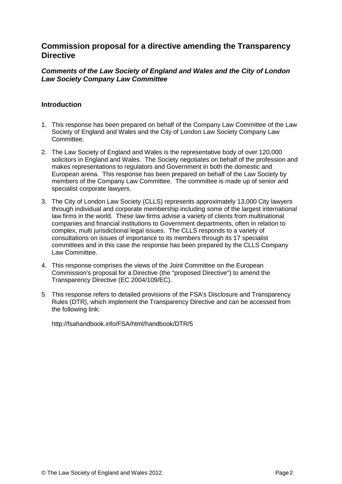# **Commission proposal for a directive amending the Transparency Directive**

### *Comments of the Law Society of England and Wales and the City of London Law Society Company Law Committee*

## **Introduction**

- 1. This response has been prepared on behalf of the Company Law Committee of the Law Society of England and Wales and the City of London Law Society Company Law Committee.
- 2. The Law Society of England and Wales is the representative body of over 120,000 solicitors in England and Wales. The Society negotiates on behalf of the profession and makes representations to regulators and Government in both the domestic and European arena. This response has been prepared on behalf of the Law Society by members of the Company Law Committee. The committee is made up of senior and specialist corporate lawyers.
- 3. The City of London Law Society (CLLS) represents approximately 13,000 City lawyers through individual and corporate membership including some of the largest international law firms in the world. These law firms advise a variety of clients from multinational companies and financial institutions to Government departments, often in relation to complex, multi jurisdictional legal issues. The CLLS responds to a variety of consultations on issues of importance to its members through its 17 specialist committees and in this case the response has been prepared by the CLLS Company Law Committee.
- 4. This response comprises the views of the Joint Committee on the European Commission's proposal for a Directive (the "proposed Directive") to amend the Transparency Directive (EC 2004/109/EC).
- 5. This response refers to detailed provisions of the FSA's Disclosure and Transparency Rules (DTR), which implement the Transparency Directive and can be accessed from the following link:

http://fsahandbook.info/FSA/html/handbook/DTR/5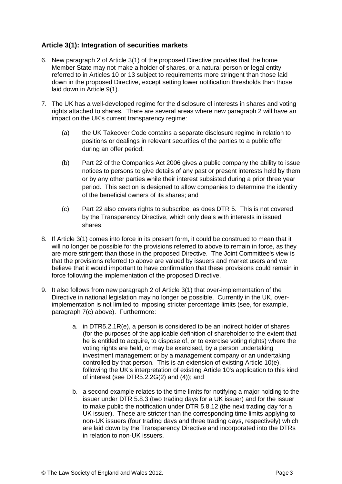# **Article 3(1): Integration of securities markets**

- 6. New paragraph 2 of Article 3(1) of the proposed Directive provides that the home Member State may not make a holder of shares, or a natural person or legal entity referred to in Articles 10 or 13 subject to requirements more stringent than those laid down in the proposed Directive, except setting lower notification thresholds than those laid down in Article 9(1).
- 7. The UK has a well-developed regime for the disclosure of interests in shares and voting rights attached to shares. There are several areas where new paragraph 2 will have an impact on the UK's current transparency regime:
	- (a) the UK Takeover Code contains a separate disclosure regime in relation to positions or dealings in relevant securities of the parties to a public offer during an offer period;
	- (b) Part 22 of the Companies Act 2006 gives a public company the ability to issue notices to persons to give details of any past or present interests held by them or by any other parties while their interest subsisted during a prior three year period. This section is designed to allow companies to determine the identity of the beneficial owners of its shares; and
	- (c) Part 22 also covers rights to subscribe, as does DTR 5. This is not covered by the Transparency Directive, which only deals with interests in issued shares.
- 8. If Article 3(1) comes into force in its present form, it could be construed to mean that it will no longer be possible for the provisions referred to above to remain in force, as they are more stringent than those in the proposed Directive. The Joint Committee's view is that the provisions referred to above are valued by issuers and market users and we believe that it would important to have confirmation that these provisions could remain in force following the implementation of the proposed Directive.
- 9. It also follows from new paragraph 2 of Article 3(1) that over-implementation of the Directive in national legislation may no longer be possible. Currently in the UK, overimplementation is not limited to imposing stricter percentage limits (see, for example, paragraph 7(c) above). Furthermore:
	- a. in DTR5.2.1R(e), a person is considered to be an indirect holder of shares (for the purposes of the applicable definition of shareholder to the extent that he is entitled to acquire, to dispose of, or to exercise voting rights) where the voting rights are held, or may be exercised, by a person undertaking investment management or by a management company or an undertaking controlled by that person. This is an extension of existing Article 10(e), following the UK's interpretation of existing Article 10's application to this kind of interest (see DTR5.2.2G(2) and (4)); and
	- b. a second example relates to the time limits for notifying a major holding to the issuer under DTR 5.8.3 (two trading days for a UK issuer) and for the issuer to make public the notification under DTR 5.8.12 (the next trading day for a UK issuer). These are stricter than the corresponding time limits applying to non-UK issuers (four trading days and three trading days, respectively) which are laid down by the Transparency Directive and incorporated into the DTRs in relation to non-UK issuers.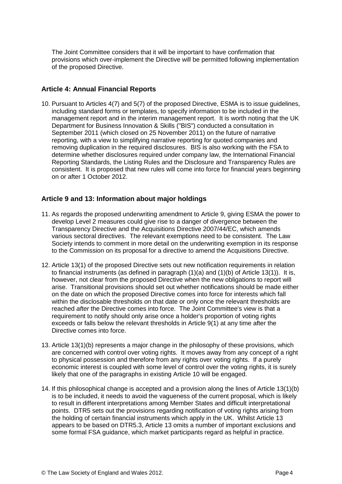The Joint Committee considers that it will be important to have confirmation that provisions which over-implement the Directive will be permitted following implementation of the proposed Directive.

### **Article 4: Annual Financial Reports**

10. Pursuant to Articles 4(7) and 5(7) of the proposed Directive, ESMA is to issue guidelines, including standard forms or templates, to specify information to be included in the management report and in the interim management report. It is worth noting that the UK Department for Business Innovation & Skills ("BIS") conducted a consultation in September 2011 (which closed on 25 November 2011) on the future of narrative reporting, with a view to simplifying narrative reporting for quoted companies and removing duplication in the required disclosures. BIS is also working with the FSA to determine whether disclosures required under company law, the International Financial Reporting Standards, the Listing Rules and the Disclosure and Transparency Rules are consistent. It is proposed that new rules will come into force for financial years beginning on or after 1 October 2012.

#### **Article 9 and 13: Information about major holdings**

- 11. As regards the proposed underwriting amendment to Article 9, giving ESMA the power to develop Level 2 measures could give rise to a danger of divergence between the Transparency Directive and the Acquisitions Directive 2007/44/EC, which amends various sectoral directives. The relevant exemptions need to be consistent. The Law Society intends to comment in more detail on the underwriting exemption in its response to the Commission on its proposal for a directive to amend the Acquisitions Directive.
- 12. Article 13(1) of the proposed Directive sets out new notification requirements in relation to financial instruments (as defined in paragraph (1)(a) and (1)(b) of Article 13(1)). It is, however, not clear from the proposed Directive when the new obligations to report will arise. Transitional provisions should set out whether notifications should be made either on the date on which the proposed Directive comes into force for interests which fall within the disclosable thresholds *on* that date or only once the relevant thresholds are reached *after* the Directive comes into force. The Joint Committee's view is that a requirement to notify should only arise once a holder's proportion of voting rights exceeds or falls below the relevant thresholds in Article 9(1) at any time after the Directive comes into force.
- 13. Article 13(1)(b) represents a major change in the philosophy of these provisions, which are concerned with control over voting rights. It moves away from any concept of a right to physical possession and therefore from any rights over voting rights. If a purely economic interest is coupled with some level of control over the voting rights, it is surely likely that one of the paragraphs in existing Article 10 will be engaged.
- 14. If this philosophical change is accepted and a provision along the lines of Article 13(1)(b) is to be included, it needs to avoid the vagueness of the current proposal, which is likely to result in different interpretations among Member States and difficult interpretational points. DTR5 sets out the provisions regarding notification of voting rights arising from the holding of certain financial instruments which apply in the UK. Whilst Article 13 appears to be based on DTR5.3, Article 13 omits a number of important exclusions and some formal FSA guidance, which market participants regard as helpful in practice.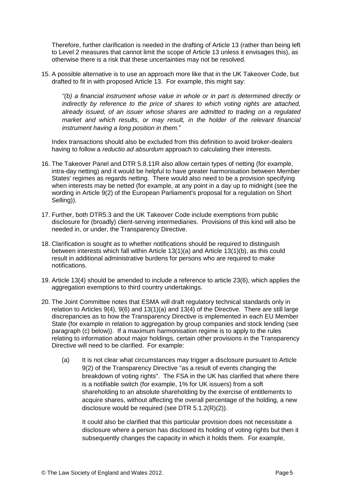Therefore, further clarification is needed in the drafting of Article 13 (rather than being left to Level 2 measures that cannot limit the scope of Article 13 unless it envisages this), as otherwise there is a risk that these uncertainties may not be resolved.

15. A possible alternative is to use an approach more like that in the UK Takeover Code, but drafted to fit in with proposed Article 13. For example, this might say:

*"(b) a financial instrument whose value in whole or in part is determined directly or indirectly by reference to the price of shares to which voting rights are attached, already issued, of an issuer whose shares are admitted to trading on a regulated market and which results, or may result, in the holder of the relevant financial instrument having a long position in them.*"

Index transactions should also be excluded from this definition to avoid broker-dealers having to follow a *reductio ad absurdum* approach to calculating their interests.

- 16. The Takeover Panel and DTR 5.8.11R also allow certain types of netting (for example, intra-day netting) and it would be helpful to have greater harmonisation between Member States' regimes as regards netting. There would also need to be a provision specifying when interests may be netted (for example, at any point in a day up to midnight (see the wording in Article 9(2) of the European Parliament's proposal for a regulation on Short Selling)).
- 17. Further, both DTR5.3 and the UK Takeover Code include exemptions from public disclosure for (broadly) client-serving intermediaries. Provisions of this kind will also be needed in, or under, the Transparency Directive.
- 18. Clarification is sought as to whether notifications should be required to distinguish between interests which fall within Article 13(1)(a) and Article 13(1)(b), as this could result in additional administrative burdens for persons who are required to make notifications.
- 19. Article 13(4) should be amended to include a reference to article 23(6), which applies the aggregation exemptions to third country undertakings.
- 20. The Joint Committee notes that ESMA will draft regulatory technical standards only in relation to Articles 9(4), 9(6) and 13(1)(a) and 13(4) of the Directive. There are still large discrepancies as to how the Transparency Directive is implemented in each EU Member State (for example in relation to aggregation by group companies and stock lending (see paragraph (c) below)). If a maximum harmonisation regime is to apply to the rules relating to information about major holdings, certain other provisions in the Transparency Directive will need to be clarified. For example:
	- (a) It is not clear what circumstances may trigger a disclosure pursuant to Article 9(2) of the Transparency Directive "as a result of events changing the breakdown of voting rights". The FSA in the UK has clarified that where there is a notifiable switch (for example, 1% for UK issuers) from a soft shareholding to an absolute shareholding by the exercise of entitlements to acquire shares, without affecting the overall percentage of the holding, a new disclosure would be required (see DTR 5.1.2(R)(2)).

It could also be clarified that this particular provision does not necessitate a disclosure where a person has disclosed its holding of voting rights but then it subsequently changes the capacity in which it holds them. For example,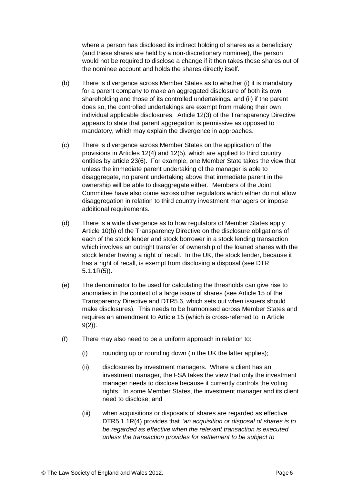where a person has disclosed its indirect holding of shares as a beneficiary (and these shares are held by a non-discretionary nominee), the person would not be required to disclose a change if it then takes those shares out of the nominee account and holds the shares directly itself.

- (b) There is divergence across Member States as to whether (i) it is mandatory for a parent company to make an aggregated disclosure of both its own shareholding and those of its controlled undertakings, and (ii) if the parent does so, the controlled undertakings are exempt from making their own individual applicable disclosures. Article 12(3) of the Transparency Directive appears to state that parent aggregation is permissive as opposed to mandatory, which may explain the divergence in approaches.
- (c) There is divergence across Member States on the application of the provisions in Articles 12(4) and 12(5), which are applied to third country entities by article 23(6). For example, one Member State takes the view that unless the immediate parent undertaking of the manager is able to disaggregate, no parent undertaking above that immediate parent in the ownership will be able to disaggregate either. Members of the Joint Committee have also come across other regulators which either do not allow disaggregation in relation to third country investment managers or impose additional requirements.
- (d) There is a wide divergence as to how regulators of Member States apply Article 10(b) of the Transparency Directive on the disclosure obligations of each of the stock lender and stock borrower in a stock lending transaction which involves an outright transfer of ownership of the loaned shares with the stock lender having a right of recall. In the UK, the stock lender, because it has a right of recall, is exempt from disclosing a disposal (see DTR 5.1.1R(5)).
- (e) The denominator to be used for calculating the thresholds can give rise to anomalies in the context of a large issue of shares (see Article 15 of the Transparency Directive and DTR5.6, which sets out when issuers should make disclosures). This needs to be harmonised across Member States and requires an amendment to Article 15 (which is cross-referred to in Article 9(2)).
- (f) There may also need to be a uniform approach in relation to:
	- (i) rounding up or rounding down (in the UK the latter applies);
	- (ii) disclosures by investment managers. Where a client has an investment manager, the FSA takes the view that only the investment manager needs to disclose because it currently controls the voting rights. In some Member States, the investment manager and its client need to disclose; and
	- (iii) when acquisitions or disposals of shares are regarded as effective. DTR5.1.1R(4) provides that "*an acquisition or disposal of shares is to be regarded as effective when the relevant transaction is executed unless the transaction provides for settlement to be subject to*